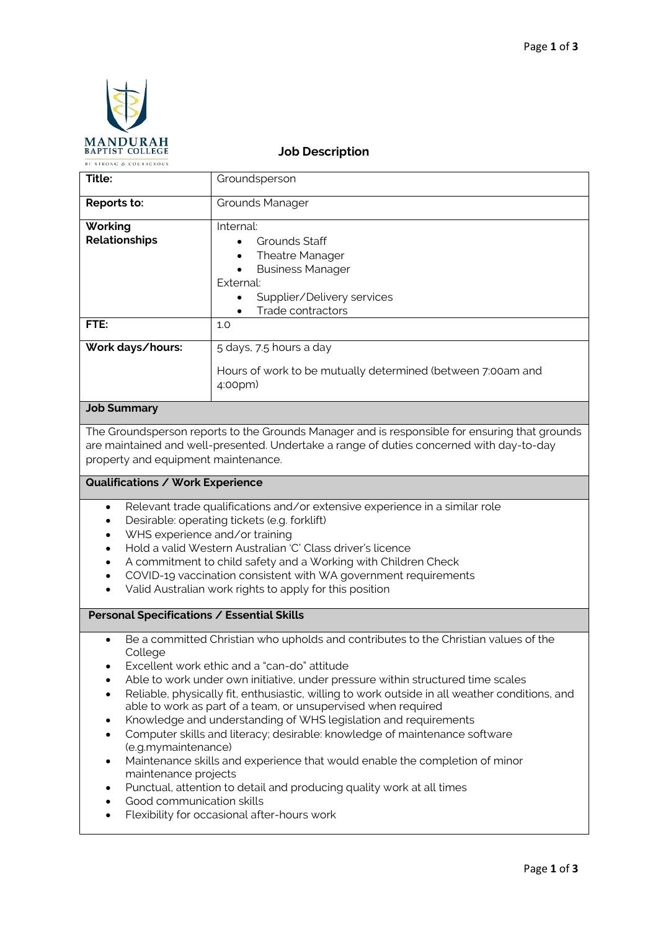

# **Job Description**

| Title:               | Groundsperson                                                          |  |
|----------------------|------------------------------------------------------------------------|--|
| Reports to:          | <b>Grounds Manager</b>                                                 |  |
| Working              | Internal:                                                              |  |
| <b>Relationships</b> | Grounds Staff                                                          |  |
|                      | <b>Theatre Manager</b><br>$\bullet$                                    |  |
|                      | <b>Business Manager</b><br>$\bullet$                                   |  |
|                      | External:                                                              |  |
|                      | Supplier/Delivery services<br>$\bullet$                                |  |
|                      | Trade contractors<br>$\bullet$                                         |  |
| FTE:                 | 1.0                                                                    |  |
| Work days/hours:     | 5 days, 7.5 hours a day                                                |  |
| .                    | Hours of work to be mutually determined (between 7:00am and<br>4:00pm) |  |

# **Job Summary**

The Groundsperson reports to the Grounds Manager and is responsible for ensuring that grounds are maintained and well-presented. Undertake a range of duties concerned with day-to-day property and equipment maintenance.

# **Qualifications / Work Experience**

- Relevant trade qualifications and/or extensive experience in a similar role
- Desirable: operating tickets (e.g. forklift)
- WHS experience and/or training
- Hold a valid Western Australian 'C' Class driver's licence
- A commitment to child safety and a Working with Children Check
- COVID-19 vaccination consistent with WA government requirements
- Valid Australian work rights to apply for this position

#### **Personal Specifications / Essential Skills**

- Be a committed Christian who upholds and contributes to the Christian values of the College
- Excellent work ethic and a "can-do" attitude
- Able to work under own initiative, under pressure within structured time scales
- Reliable, physically fit, enthusiastic, willing to work outside in all weather conditions, and able to work as part of a team, or unsupervised when required
- Knowledge and understanding of WHS legislation and requirements
- Computer skills and literacy; desirable: knowledge of maintenance software (e.g.mymaintenance)
- Maintenance skills and experience that would enable the completion of minor maintenance projects
- Punctual, attention to detail and producing quality work at all times
- Good communication skills
- Flexibility for occasional after-hours work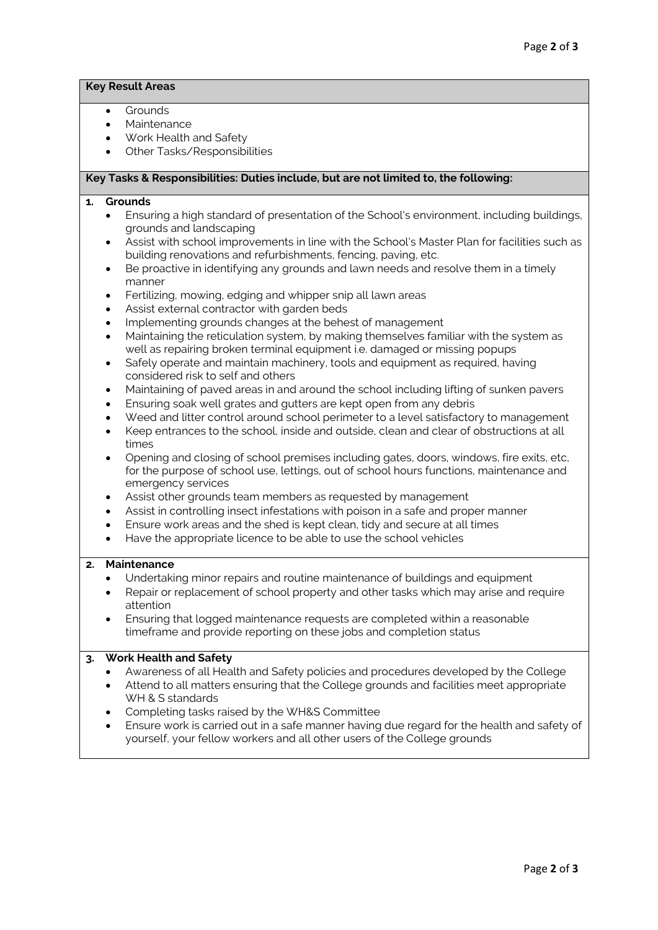# **Key Result Areas**

- Grounds
- **Maintenance**
- Work Health and Safety
- Other Tasks/Responsibilities

#### **Key Tasks & Responsibilities: Duties include, but are not limited to, the following:**

#### **1. Grounds**

- Ensuring a high standard of presentation of the School's environment, including buildings, grounds and landscaping
- Assist with school improvements in line with the School's Master Plan for facilities such as building renovations and refurbishments, fencing, paving, etc.
- Be proactive in identifying any grounds and lawn needs and resolve them in a timely manner
- Fertilizing, mowing, edging and whipper snip all lawn areas
- Assist external contractor with garden beds
- Implementing grounds changes at the behest of management
- Maintaining the reticulation system, by making themselves familiar with the system as well as repairing broken terminal equipment i.e. damaged or missing popups
- Safely operate and maintain machinery, tools and equipment as required, having considered risk to self and others
- Maintaining of paved areas in and around the school including lifting of sunken pavers
- Ensuring soak well grates and gutters are kept open from any debris
- Weed and litter control around school perimeter to a level satisfactory to management
- Keep entrances to the school, inside and outside, clean and clear of obstructions at all times
- Opening and closing of school premises including gates, doors, windows, fire exits, etc, for the purpose of school use, lettings, out of school hours functions, maintenance and emergency services
- Assist other grounds team members as requested by management
- Assist in controlling insect infestations with poison in a safe and proper manner
- Ensure work areas and the shed is kept clean, tidy and secure at all times
- Have the appropriate licence to be able to use the school vehicles

# **2. Maintenance**

- Undertaking minor repairs and routine maintenance of buildings and equipment
- Repair or replacement of school property and other tasks which may arise and require attention
- Ensuring that logged maintenance requests are completed within a reasonable timeframe and provide reporting on these jobs and completion status

# **3. Work Health and Safety**

- Awareness of all Health and Safety policies and procedures developed by the College
- Attend to all matters ensuring that the College grounds and facilities meet appropriate WH & S standards
- Completing tasks raised by the WH&S Committee
- Ensure work is carried out in a safe manner having due regard for the health and safety of yourself, your fellow workers and all other users of the College grounds